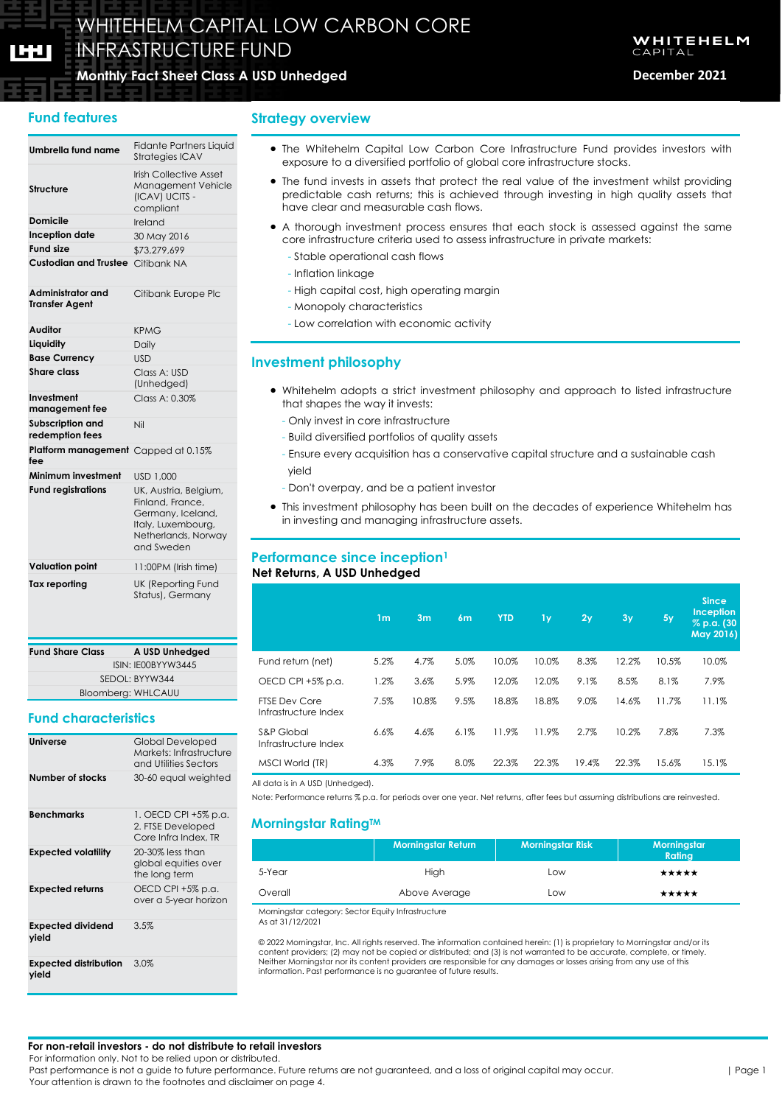**fee**

# **Monthly Fact Sheet Class A USD Unhedged December 2021** Monthly Fact Sheet

## **Fund features**

### **Umbrella fund name** Fidante Partners Liquid Strategies ICAV **Structure** Irish Collective Asset Management Vehicle (ICAV) UCITS compliant **Domicile Ireland Inception date** 30 May 2016 **Fund size** \$73,279,699 **Custodian and Trustee** Citibank NA **Administrator and Transfer Agent** Citibank Europe Plc **Auditor** KPMG **Liquidity** Daily **Base Currency** USD **Share class** Class A: USD (Unhedged) **Investment management fee**  $Class A: 0.30%$ **Subscription and redemption fees** Nil **Platform management**  Capped at 0.15% **Minimum investment** USD 1,000 **Fund registrations** UK, Austria, Belgium, Finland, France, Germany, Iceland, Italy, Luxembourg, Netherlands, Norway and Sweden

| <b>Valuation point</b> | 11:00PM (Irish time) |
|------------------------|----------------------|
| Tax reporting          | UK (Reporting Fund   |
|                        | Status), Germany     |

| <b>Fund Share Class</b> | A USD Unhedged     |
|-------------------------|--------------------|
|                         | ISIN: IE00BYYW3445 |
|                         | SEDOL: BYYW344     |
|                         | Bloomberg: WHLCAUU |

# **Fund characteristics**

| <b>Universe</b>                       | Global Developed<br>Markets: Infrastructure<br>and Utilities Sectors |
|---------------------------------------|----------------------------------------------------------------------|
| <b>Number of stocks</b>               | 30-60 equal weighted                                                 |
| <b>Benchmarks</b>                     | 1. OECD CPI +5% p.a.<br>2. FTSE Developed<br>Core Infra Index, TR    |
| Expected volatility                   | 20-30% less than<br>global equities over<br>the long term            |
| Expected returns                      | OECD CPI +5% p.a.<br>over a 5-year horizon                           |
| Expected dividend<br>yield            | 3.5%                                                                 |
| <b>Expected distribution</b><br>yield | 3.0%                                                                 |

## **Strategy overview**

- The Whitehelm Capital Low Carbon Core Infrastructure Fund provides investors with exposure to a diversified portfolio of global core infrastructure stocks.
- The fund invests in assets that protect the real value of the investment whilst providing predictable cash returns; this is achieved through investing in high quality assets that have clear and measurable cash flows.
- A thorough investment process ensures that each stock is assessed against the same core infrastructure criteria used to assess infrastructure in private markets:
	- Stable operational cash flows
	- Inflation linkage
	- High capital cost, high operating margin
	- Monopoly characteristics
	- Low correlation with economic activity

## **Investment philosophy**

- Whitehelm adopts a strict investment philosophy and approach to listed infrastructure that shapes the way it invests:
	- Only invest in core infrastructure
	- Build diversified portfolios of quality assets
	- Ensure every acquisition has a conservative capital structure and a sustainable cash yield
	- Don't overpay, and be a patient investor
- This investment philosophy has been built on the decades of experience Whitehelm has in investing and managing infrastructure assets.

# **Performance since inception<sup>1</sup>**

### **Net Returns, A USD Unhedged**

|                                              | 1 <sub>m</sub> | 3m    | 6m   | <b>YTD</b> | 1y    | 2y    | 3y    | 5y    | <b>Since</b><br><b>Inception</b><br>% p.a. (30<br>May 2016) |
|----------------------------------------------|----------------|-------|------|------------|-------|-------|-------|-------|-------------------------------------------------------------|
| Fund return (net)                            | 5.2%           | 4.7%  | 5.0% | 10.0%      | 10.0% | 8.3%  | 12.2% | 10.5% | 10.0%                                                       |
| OECD CPI +5% p.a.                            | 1.2%           | 3.6%  | 5.9% | 12.0%      | 12.0% | 9.1%  | 8.5%  | 8.1%  | 7.9%                                                        |
| <b>FTSE Dev Core</b><br>Infrastructure Index | 7.5%           | 10.8% | 9.5% | 18.8%      | 18.8% | 9.0%  | 14.6% | 11.7% | 11.1%                                                       |
| S&P Global<br>Infrastructure Index           | 6.6%           | 4.6%  | 6.1% | 11.9%      | 11.9% | 2.7%  | 10.2% | 7.8%  | 7.3%                                                        |
| MSCI World (TR)                              | 4.3%           | 7.9%  | 8.0% | 22.3%      | 22.3% | 19.4% | 22.3% | 15.6% | 15.1%                                                       |

All data is in A USD (Unhedged).

Note: Performance returns % p.a. for periods over one year. Net returns, after fees but assuming distributions are reinvested.

## **Morningstar RatingTM**

|         | <b>Morningstar Return</b> | <b>Morningstar Risk</b> | Morningstar<br>Rating |
|---------|---------------------------|-------------------------|-----------------------|
| 5-Year  | High                      | Low                     | *****                 |
| Overall | Above Average             | Low                     | ★★★★★                 |
|         | .                         |                         |                       |

Morningstar category: Sector Equity Infrastructure

As at 31/12/2021

© 2022 Morningstar, Inc. All rights reserved. The information contained herein: (1) is proprietary to Morningstar and/or its content providers; (2) may not be copied or distributed; and (3) is not warranted to be accurate, complete, or timely. Neither Morningstar nor its content providers are responsible for any damages or losses arising from any use of this information. Past performance is no guarantee of future results.

**For non-retail investors - do not distribute to retail investors**

For information only. Not to be relied upon or distributed.

Past performance is not a guide to future performance. Future returns are not guaranteed, and a loss of original capital may occur. Your attention is drawn to the footnotes and disclaimer on page 4.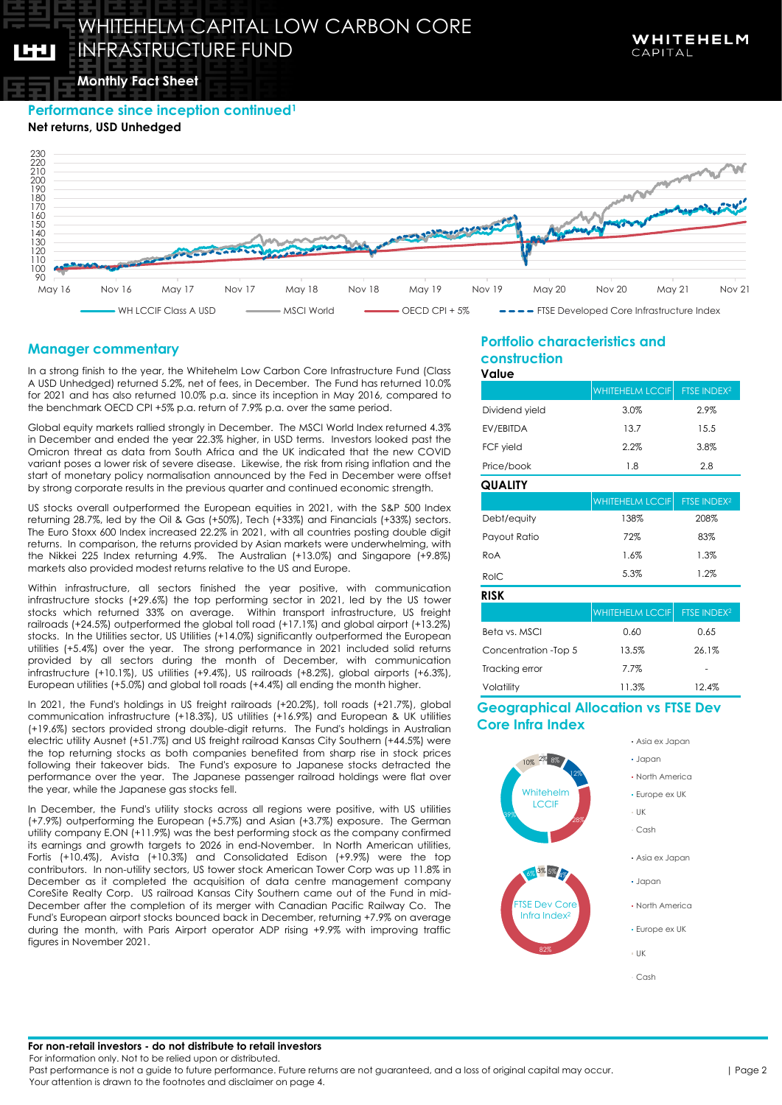**Monthly Fact Sheet** Monthly Fact Sheet

**Performance since inception continued<sup>1</sup>**

**Net returns, USD Unhedged**

160



# **Manager commentary**

In a strong finish to the year, the Whitehelm Low Carbon Core Infrastructure Fund (Class A USD Unhedged) returned 5.2%, net of fees, in December. The Fund has returned 10.0% for 2021 and has also returned 10.0% p.a. since its inception in May 2016, compared to the benchmark OECD CPI +5% p.a. return of 7.9% p.a. over the same period.

Global equity markets rallied strongly in December. The MSCI World Index returned 4.3% in December and ended the year 22.3% higher, in USD terms. Investors looked past the Omicron threat as data from South Africa and the UK indicated that the new COVID variant poses a lower risk of severe disease. Likewise, the risk from rising inflation and the start of monetary policy normalisation announced by the Fed in December were offset by strong corporate results in the previous quarter and continued economic strength.

US stocks overall outperformed the European equities in 2021, with the S&P 500 Index returning 28.7%, led by the Oil & Gas (+50%), Tech (+33%) and Financials (+33%) sectors. The Euro Stoxx 600 Index increased 22.2% in 2021, with all countries posting double digit returns. In comparison, the returns provided by Asian markets were underwhelming, with the Nikkei 225 Index returning 4.9%. The Australian (+13.0%) and Singapore (+9.8%) markets also provided modest returns relative to the US and Europe.

Within infrastructure, all sectors finished the year positive, with communication infrastructure stocks (+29.6%) the top performing sector in 2021, led by the US tower stocks which returned 33% on average. Within transport infrastructure, US freight railroads (+24.5%) outperformed the global toll road (+17.1%) and global airport (+13.2%) stocks. In the Utilities sector, US Utilities (+14.0%) significantly outperformed the European utilities (+5.4%) over the year. The strong performance in 2021 included solid returns provided by all sectors during the month of December, with communication infrastructure (+10.1%), US utilities (+9.4%), US railroads (+8.2%), global airports (+6.3%), European utilities (+5.0%) and global toll roads (+4.4%) all ending the month higher.

In 2021, the Fund's holdings in US freight railroads (+20.2%), toll roads (+21.7%), global communication infrastructure (+18.3%), US utilities (+16.9%) and European & UK utilities (+19.6%) sectors provided strong double-digit returns. The Fund's holdings in Australian electric utility Ausnet (+51.7%) and US freight railroad Kansas City Southern (+44.5%) were the top returning stocks as both companies benefited from sharp rise in stock prices following their takeover bids. The Fund's exposure to Japanese stocks detracted the performance over the year. The Japanese passenger railroad holdings were flat over the year, while the Japanese gas stocks fell.

In December, the Fund's utility stocks across all regions were positive, with US utilities (+7.9%) outperforming the European (+5.7%) and Asian (+3.7%) exposure. The German utility company E.ON (+11.9%) was the best performing stock as the company confirmed its earnings and growth targets to 2026 in end-November. In North American utilities, Fortis (+10.4%), Avista (+10.3%) and Consolidated Edison (+9.9%) were the top contributors. In non-utility sectors, US tower stock American Tower Corp was up 11.8% in December as it completed the acquisition of data centre management company CoreSite Realty Corp. US railroad Kansas City Southern came out of the Fund in mid-December after the completion of its merger with Canadian Pacific Railway Co. The Fund's European airport stocks bounced back in December, returning +7.9% on average during the month, with Paris Airport operator ADP rising +9.9% with improving traffic figures in November 2021.

### **Portfolio characteristics and construction Value**

|                      | <b>WHITEHELM LCCIF</b> | FTSE INDEX <sup>2</sup> |  |
|----------------------|------------------------|-------------------------|--|
| Dividend yield       | 3.0%                   | 2.9%                    |  |
| EV/EBITDA            | 13.7                   | 15.5                    |  |
| FCF yield            | 2.2%                   | 3.8%                    |  |
| Price/book           | 1.8                    | 2.8                     |  |
| <b>QUALITY</b>       |                        |                         |  |
|                      | <b>WHITEHELM LCCIF</b> | FTSE INDEX <sup>2</sup> |  |
| Debt/equity          | 138%                   | 208%                    |  |
| Payout Ratio         | 72%                    | 83%                     |  |
| RoA                  | 1.6%                   | 1.3%                    |  |
| RoIC                 | 5.3%                   | 1.2%                    |  |
| <b>RISK</b>          |                        |                         |  |
|                      | <b>WHITEHELM LCCIF</b> | FTSE INDEX <sup>2</sup> |  |
| Beta vs. MSCI        | 0.60                   | 0.65                    |  |
| Concentration -Top 5 | 13.5%                  | 26.1%                   |  |
| Tracking error       | 7.7%                   |                         |  |
| Volatility           | 11.3%                  | 12.4%                   |  |

## **Geographical Allocation vs FTSE Dev Core Infra Index**



- Asia ex Japan
- Japan
- North America
- Europe ex UK
- Asia ex Japan
- Japan
- North America
- Europe ex UK
- Cash

**For non-retail investors - do not distribute to retail investors**

For information only. Not to be relied upon or distributed.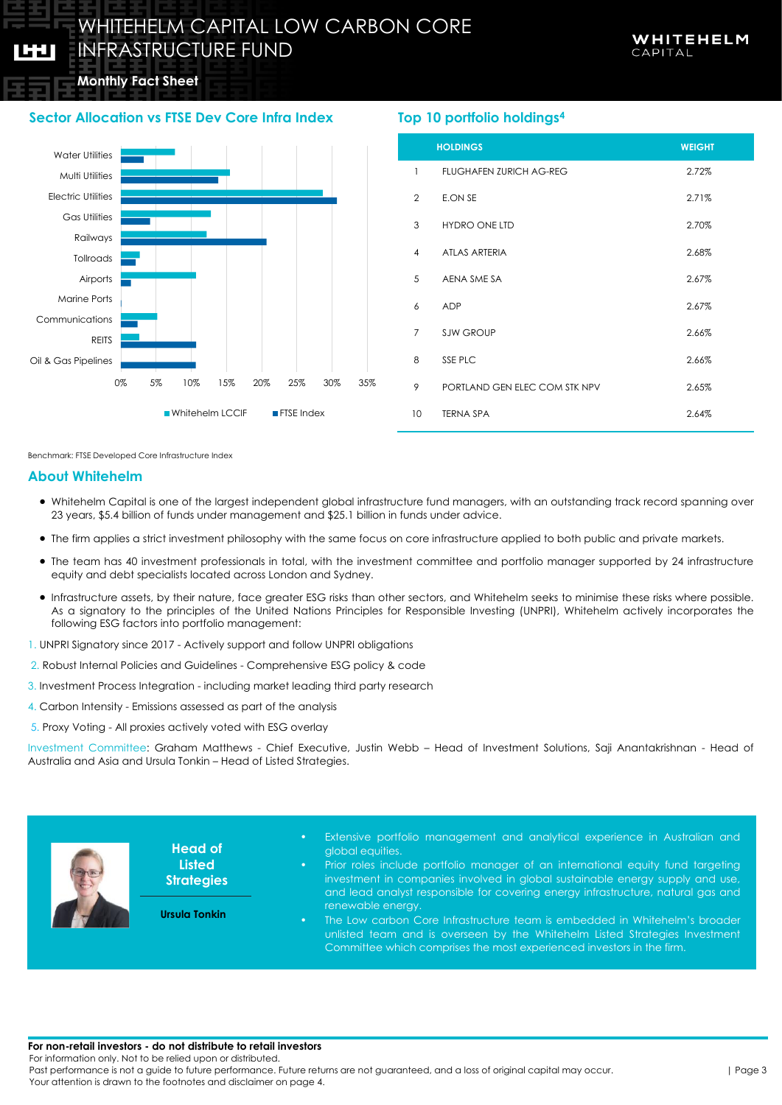# **Monthly Fact Sheet** Monthly Fact Sheet

IGU.

# **Sector Allocation vs FTSE Dev Core Infra Index**



# **Top 10 portfolio holdings<sup>4</sup>**

|                 | <b>HOLDINGS</b>                | <b>WEIGHT</b> |
|-----------------|--------------------------------|---------------|
| 1               | <b>FLUGHAFEN ZURICH AG-REG</b> | 2.72%         |
| $\overline{2}$  | E.ON SE                        | 2.71%         |
| 3               | <b>HYDRO ONE LTD</b>           | 2.70%         |
| $\overline{4}$  | <b>ATLAS ARTERIA</b>           | 2.68%         |
| 5               | AENA SME SA                    | 2.67%         |
| 6               | <b>ADP</b>                     | 2.67%         |
| $\overline{7}$  | <b>SJW GROUP</b>               | 2.66%         |
| 8               | SSE PLC                        | 2.66%         |
| 9               | PORTLAND GEN ELEC COM STK NPV  | 2.65%         |
| 10 <sup>°</sup> | <b>TERNA SPA</b>               | 2.64%         |

Benchmark: FTSE Developed Core Infrastructure Index

### **About Whitehelm**

- Whitehelm Capital is one of the largest independent global infrastructure fund managers, with an outstanding track record spanning over 23 years, \$5.4 billion of funds under management and \$25.1 billion in funds under advice.
- The firm applies a strict investment philosophy with the same focus on core infrastructure applied to both public and private markets.
- The team has 40 investment professionals in total, with the investment committee and portfolio manager supported by 24 infrastructure equity and debt specialists located across London and Sydney.
- Infrastructure assets, by their nature, face greater ESG risks than other sectors, and Whitehelm seeks to minimise these risks where possible. As a signatory to the principles of the United Nations Principles for Responsible Investing (UNPRI), Whitehelm actively incorporates the following ESG factors into portfolio management:
- 1. UNPRI Signatory since 2017 Actively support and follow UNPRI obligations
- 2. Robust Internal Policies and Guidelines Comprehensive ESG policy & code
- 3. Investment Process Integration including market leading third party research
- 4. Carbon Intensity Emissions assessed as part of the analysis
- 5. Proxy Voting All proxies actively voted with ESG overlay

Investment Committee: Graham Matthews - Chief Executive, Justin Webb – Head of Investment Solutions, Saji Anantakrishnan - Head of Australia and Asia and Ursula Tonkin – Head of Listed Strategies.



**Head of Listed Strategies**

**Ursula Tonkin**

- Extensive portfolio management and analytical experience in Australian and global equities.
- Prior roles include portfolio manager of an international equity fund targeting investment in companies involved in global sustainable energy supply and use, and lead analyst responsible for covering energy infrastructure, natural gas and renewable energy.
- The Low carbon Core Infrastructure team is embedded in Whitehelm's broader unlisted team and is overseen by the Whitehelm Listed Strategies Investment Committee which comprises the most experienced investors in the firm.

#### **For non-retail investors - do not distribute to retail investors**

For information only. Not to be relied upon or distributed.

Past performance is not a guide to future performance. Future returns are not guaranteed, and a loss of original capital may occur. Your attention is drawn to the footnotes and disclaimer on page 4.